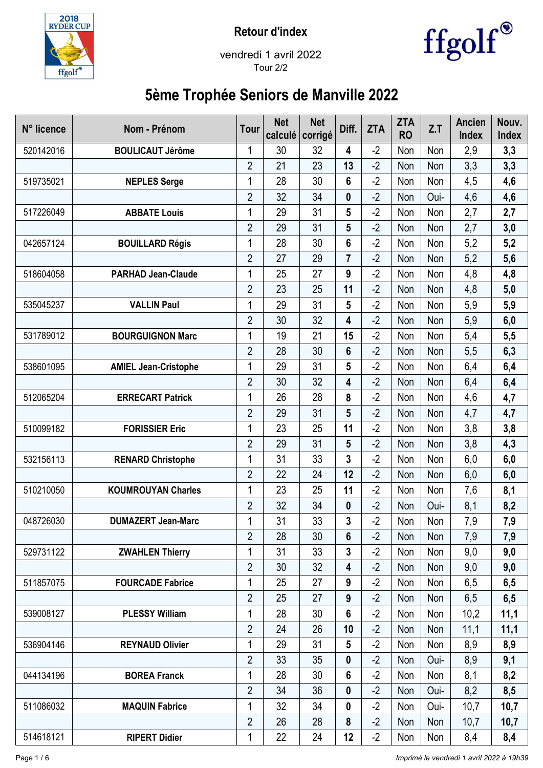



vendredi 1 avril 2022 Tour 2/2

## 5ème Trophée Seniors de Manville 2022

| N° licence | Nom - Prénom                | Tour           | <b>Net</b><br>calculé | <b>Net</b><br>corrigé | Diff.            | <b>ZTA</b> | <b>ZTA</b><br><b>RO</b> | Z.T  | <b>Ancien</b><br><b>Index</b> | Nouv.<br><b>Index</b> |
|------------|-----------------------------|----------------|-----------------------|-----------------------|------------------|------------|-------------------------|------|-------------------------------|-----------------------|
| 520142016  | <b>BOULICAUT Jérôme</b>     | 1              | 30                    | 32                    | 4                | $-2$       | Non                     | Non  | 2,9                           | 3,3                   |
|            |                             | $\overline{2}$ | 21                    | 23                    | 13               | $-2$       | Non                     | Non  | 3,3                           | 3,3                   |
| 519735021  | <b>NEPLES Serge</b>         | 1              | 28                    | 30                    | 6                | $-2$       | Non                     | Non  | 4,5                           | 4,6                   |
|            |                             | $\overline{2}$ | 32                    | 34                    | $\bf{0}$         | $-2$       | Non                     | Oui- | 4,6                           | 4,6                   |
| 517226049  | <b>ABBATE Louis</b>         | 1              | 29                    | 31                    | 5                | $-2$       | Non                     | Non  | 2,7                           | 2,7                   |
|            |                             | $\overline{2}$ | 29                    | 31                    | 5                | $-2$       | Non                     | Non  | 2,7                           | 3,0                   |
| 042657124  | <b>BOUILLARD Régis</b>      | 1              | 28                    | 30                    | 6                | $-2$       | Non                     | Non  | 5,2                           | 5,2                   |
|            |                             | $\overline{2}$ | 27                    | 29                    | $\overline{7}$   | $-2$       | Non                     | Non  | 5,2                           | 5,6                   |
| 518604058  | <b>PARHAD Jean-Claude</b>   | 1              | 25                    | 27                    | 9                | $-2$       | Non                     | Non  | 4,8                           | 4,8                   |
|            |                             | $\overline{2}$ | 23                    | 25                    | 11               | $-2$       | Non                     | Non  | 4,8                           | 5,0                   |
| 535045237  | <b>VALLIN Paul</b>          | 1              | 29                    | 31                    | 5                | $-2$       | Non                     | Non  | 5,9                           | 5,9                   |
|            |                             | $\overline{2}$ | 30                    | 32                    | 4                | $-2$       | Non                     | Non  | 5,9                           | 6,0                   |
| 531789012  | <b>BOURGUIGNON Marc</b>     | 1              | 19                    | 21                    | 15               | $-2$       | Non                     | Non  | 5,4                           | 5,5                   |
|            |                             | $\overline{2}$ | 28                    | 30                    | 6                | $-2$       | Non                     | Non  | 5,5                           | 6,3                   |
| 538601095  | <b>AMIEL Jean-Cristophe</b> | 1              | 29                    | 31                    | 5                | $-2$       | Non                     | Non  | 6,4                           | 6,4                   |
|            |                             | $\overline{2}$ | 30                    | 32                    | 4                | $-2$       | Non                     | Non  | 6,4                           | 6,4                   |
| 512065204  | <b>ERRECART Patrick</b>     | 1              | 26                    | 28                    | 8                | $-2$       | Non                     | Non  | 4,6                           | 4,7                   |
|            |                             | $\overline{2}$ | 29                    | 31                    | 5                | $-2$       | Non                     | Non  | 4,7                           | 4,7                   |
| 510099182  | <b>FORISSIER Eric</b>       | 1              | 23                    | 25                    | 11               | $-2$       | Non                     | Non  | 3,8                           | 3,8                   |
|            |                             | $\overline{2}$ | 29                    | 31                    | 5                | $-2$       | Non                     | Non  | 3,8                           | 4,3                   |
| 532156113  | <b>RENARD Christophe</b>    | 1              | 31                    | 33                    | 3                | $-2$       | Non                     | Non  | 6,0                           | 6,0                   |
|            |                             | $\overline{2}$ | 22                    | 24                    | 12               | $-2$       | Non                     | Non  | 6,0                           | 6,0                   |
| 510210050  | <b>KOUMROUYAN Charles</b>   | 1              | 23                    | 25                    | 11               | $-2$       | Non                     | Non  | 7,6                           | 8,1                   |
|            |                             | 2              | 32                    | 34                    | 0                | $-2$       | Non                     | Oui- | 8,1                           | 8,2                   |
| 048726030  | <b>DUMAZERT Jean-Marc</b>   | 1              | 31                    | 33                    | 3                | $-2$       | Non                     | Non  | 7,9                           | 7,9                   |
|            |                             | $\overline{2}$ | 28                    | 30                    | 6                | $-2$       | Non                     | Non  | 7,9                           | 7,9                   |
| 529731122  | <b>ZWAHLEN Thierry</b>      | 1              | 31                    | 33                    | 3                | $-2$       | Non                     | Non  | 9,0                           | 9,0                   |
|            |                             | $\overline{2}$ | 30                    | 32                    | 4                | $-2$       | Non                     | Non  | 9,0                           | 9,0                   |
| 511857075  | <b>FOURCADE Fabrice</b>     | 1              | 25                    | 27                    | 9                | $-2$       | Non                     | Non  | 6,5                           | 6,5                   |
|            |                             | $\sqrt{2}$     | 25                    | 27                    | 9                | $-2$       | Non                     | Non  | 6,5                           | 6,5                   |
| 539008127  | <b>PLESSY William</b>       | 1              | 28                    | 30                    | 6                | $-2$       | Non                     | Non  | 10,2                          | 11,1                  |
|            |                             | $\overline{2}$ | 24                    | 26                    | 10               | $-2$       | Non                     | Non  | 11,1                          | 11,1                  |
| 536904146  | <b>REYNAUD Olivier</b>      | 1              | 29                    | 31                    | 5                | $-2$       | Non                     | Non  | 8,9                           | 8,9                   |
|            |                             | $\overline{2}$ | 33                    | 35                    | 0                | $-2$       | Non                     | Oui- | 8,9                           | 9,1                   |
| 044134196  | <b>BOREA Franck</b>         | 1              | 28                    | 30                    | 6                | $-2$       | Non                     | Non  | 8,1                           | 8,2                   |
|            |                             | $\overline{2}$ | 34                    | 36                    | $\bf{0}$         | $-2$       | Non                     | Oui- | 8,2                           | 8,5                   |
| 511086032  | <b>MAQUIN Fabrice</b>       | 1              | 32                    | 34                    | $\boldsymbol{0}$ | $-2$       | Non                     | Oui- | 10,7                          | 10,7                  |
|            |                             | $\overline{2}$ | 26                    | 28                    | 8                | $-2$       | Non                     | Non  | 10,7                          | 10,7                  |
| 514618121  | <b>RIPERT Didier</b>        | 1              | 22                    | 24                    | 12               | $-2$       | Non                     | Non  | 8,4                           | 8,4                   |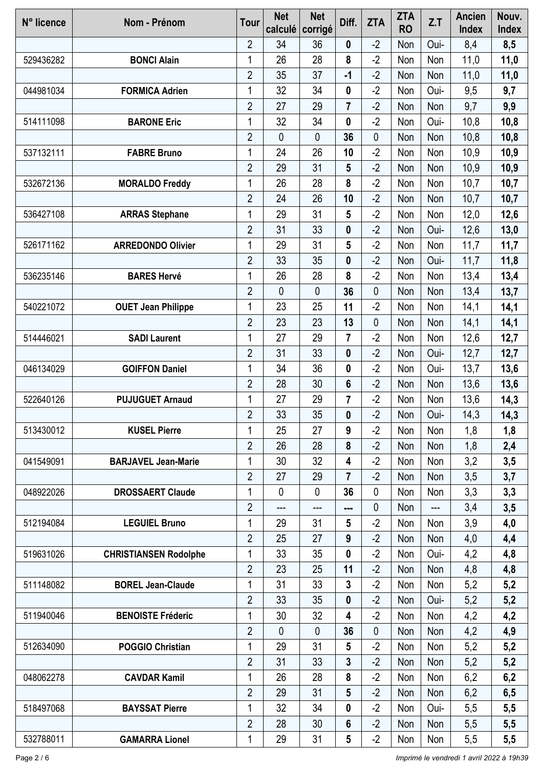| N° licence | Nom - Prénom                 | <b>Tour</b>         | <b>Net</b><br>calculé | <b>Net</b><br>corrigé | Diff.            | <b>ZTA</b>  | <b>ZTA</b><br><b>RO</b> | Z.T        | Ancien<br><b>Index</b> | Nouv.<br><b>Index</b> |
|------------|------------------------------|---------------------|-----------------------|-----------------------|------------------|-------------|-------------------------|------------|------------------------|-----------------------|
|            |                              | $\overline{2}$      | 34                    | 36                    | 0                | $-2$        | Non                     | Oui-       | 8,4                    | 8,5                   |
| 529436282  | <b>BONCI Alain</b>           | 1                   | 26                    | 28                    | 8                | $-2$        | Non                     | Non        | 11,0                   | 11,0                  |
|            |                              | $\overline{2}$      | 35                    | 37                    | $-1$             | $-2$        | Non                     | Non        | 11,0                   | 11,0                  |
| 044981034  | <b>FORMICA Adrien</b>        | 1                   | 32                    | 34                    | $\boldsymbol{0}$ | $-2$        | Non                     | Oui-       | 9,5                    | 9,7                   |
|            |                              | $\overline{2}$      | 27                    | 29                    | $\overline{7}$   | $-2$        | Non                     | Non        | 9,7                    | 9,9                   |
| 514111098  | <b>BARONE Eric</b>           | 1                   | 32                    | 34                    | 0                | $-2$        | Non                     | Oui-       | 10,8                   | 10,8                  |
|            |                              | $\overline{2}$      | 0                     | 0                     | 36               | $\mathbf 0$ | Non                     | Non        | 10,8                   | 10,8                  |
| 537132111  | <b>FABRE Bruno</b>           | $\mathbf 1$         | 24                    | 26                    | 10               | $-2$        | Non                     | Non        | 10,9                   | 10,9                  |
|            |                              | $\overline{2}$      | 29                    | 31                    | 5                | $-2$        | Non                     | Non        | 10,9                   | 10,9                  |
| 532672136  | <b>MORALDO Freddy</b>        | 1                   | 26                    | 28                    | 8                | $-2$        | Non                     | Non        | 10,7                   | 10,7                  |
|            |                              | $\overline{2}$      | 24                    | 26                    | 10               | $-2$        | Non                     | Non        | 10,7                   | 10,7                  |
| 536427108  | <b>ARRAS Stephane</b>        | 1                   | 29                    | 31                    | 5                | $-2$        | Non                     | Non        | 12,0                   | 12,6                  |
|            |                              | $\overline{2}$      | 31                    | 33                    | 0                | $-2$        | Non                     | Oui-       | 12,6                   | 13,0                  |
| 526171162  | <b>ARREDONDO Olivier</b>     | 1                   | 29                    | 31                    | 5                | $-2$        | Non                     | Non        | 11,7                   | 11,7                  |
|            |                              | $\overline{2}$      | 33                    | 35                    | $\boldsymbol{0}$ | $-2$        | Non                     | Oui-       | 11,7                   | 11,8                  |
| 536235146  | <b>BARES Hervé</b>           | 1                   | 26                    | 28                    | 8                | $-2$        | Non                     | Non        | 13,4                   | 13,4                  |
|            |                              | $\overline{2}$      | 0<br>23               | 0                     | 36<br>11         | 0<br>$-2$   | Non                     | Non        | 13,4                   | 13,7                  |
| 540221072  | <b>OUET Jean Philippe</b>    | 1<br>$\overline{2}$ | 23                    | 25<br>23              | 13               | $\mathbf 0$ | Non<br>Non              | Non<br>Non | 14,1<br>14,1           | 14,1<br>14,1          |
| 514446021  | <b>SADI Laurent</b>          | 1                   | 27                    | 29                    | 7                | $-2$        | Non                     | Non        | 12,6                   | 12,7                  |
|            |                              | $\overline{2}$      | 31                    | 33                    | $\boldsymbol{0}$ | $-2$        | Non                     | Oui-       | 12,7                   | 12,7                  |
| 046134029  | <b>GOIFFON Daniel</b>        | 1                   | 34                    | 36                    | 0                | $-2$        | Non                     | Oui-       | 13,7                   | 13,6                  |
|            |                              | $\overline{2}$      | 28                    | 30                    | 6                | $-2$        | Non                     | Non        | 13,6                   | 13,6                  |
| 522640126  | <b>PUJUGUET Arnaud</b>       | 1                   | 27                    | 29                    | 7                | $-2$        | Non                     | Non        | 13,6                   | 14,3                  |
|            |                              | $\overline{2}$      | 33                    | 35                    | $\boldsymbol{0}$ | $-2$        | Non                     | Oui-       | 14,3                   | 14,3                  |
| 513430012  | <b>KUSEL Pierre</b>          | 1                   | 25                    | 27                    | 9                | $-2$        | Non                     | Non        | 1,8                    | 1,8                   |
|            |                              | $\overline{2}$      | 26                    | 28                    | 8                | $-2$        | Non                     | Non        | 1,8                    | 2,4                   |
| 041549091  | <b>BARJAVEL Jean-Marie</b>   | 1                   | 30                    | 32                    | 4                | $-2$        | Non                     | Non        | 3,2                    | 3,5                   |
|            |                              | $\overline{2}$      | 27                    | 29                    | $\overline{7}$   | $-2$        | Non                     | Non        | 3,5                    | 3,7                   |
| 048922026  | <b>DROSSAERT Claude</b>      | 1                   | $\mathbf 0$           | $\pmb{0}$             | 36               | 0           | Non                     | Non        | 3,3                    | 3,3                   |
|            |                              | $\overline{2}$      | ---                   |                       | ---              | 0           | Non                     | ---        | 3,4                    | 3,5                   |
| 512194084  | <b>LEGUIEL Bruno</b>         | 1                   | 29                    | 31                    | 5                | $-2$        | Non                     | Non        | 3,9                    | 4,0                   |
|            |                              | $\overline{2}$      | 25                    | 27                    | 9                | $-2$        | Non                     | Non        | 4,0                    | 4,4                   |
| 519631026  | <b>CHRISTIANSEN Rodolphe</b> | 1                   | 33                    | 35                    | 0                | $-2$        | Non                     | Oui-       | 4,2                    | 4,8                   |
|            |                              | $\overline{2}$      | 23                    | 25                    | 11               | $-2$        | Non                     | Non        | 4,8                    | 4,8                   |
| 511148082  | <b>BOREL Jean-Claude</b>     | $\mathbf 1$         | 31                    | 33                    | 3                | $-2$        | Non                     | Non        | 5,2                    | 5,2                   |
|            |                              | $\overline{2}$      | 33                    | 35                    | $\boldsymbol{0}$ | $-2$        | Non                     | Oui-       | 5,2                    | 5,2                   |
| 511940046  | <b>BENOISTE Fréderic</b>     | 1                   | 30                    | 32                    | 4                | $-2$        | Non                     | Non        | 4,2                    | 4,2                   |
|            |                              | $\overline{2}$      | 0                     | 0                     | 36               | 0           | Non                     | Non        | 4,2                    | 4,9                   |
| 512634090  | <b>POGGIO Christian</b>      | 1                   | 29                    | 31                    | 5                | $-2$        | Non                     | Non        | 5,2                    | 5,2                   |
|            |                              | $\overline{2}$      | 31                    | 33                    | 3                | $-2$        | Non                     | Non        | 5,2                    | 5,2                   |
| 048062278  | <b>CAVDAR Kamil</b>          | 1                   | 26                    | 28                    | 8                | $-2$        | Non                     | Non        | 6,2                    | 6,2                   |
|            |                              | $\overline{2}$      | 29                    | 31                    | 5                | $-2$        | Non                     | Non        | 6,2                    | 6,5                   |
| 518497068  | <b>BAYSSAT Pierre</b>        | 1                   | 32                    | 34                    | $\boldsymbol{0}$ | $-2$        | Non                     | Oui-       | 5,5                    | 5,5                   |
|            |                              | $\overline{2}$      | 28                    | 30                    | 6                | $-2$        | Non                     | Non        | 5,5                    | 5,5                   |
| 532788011  | <b>GAMARRA Lionel</b>        | 1                   | 29                    | 31                    | 5                | $-2$        | Non                     | Non        | 5,5                    | 5,5                   |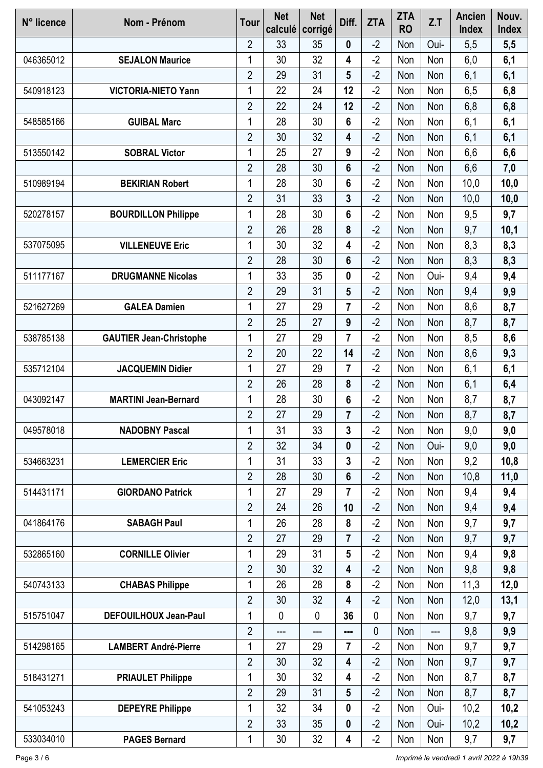| $\overline{2}$<br>33<br>35<br>$-2$<br>5,5<br>0<br>Oui-<br>5,5<br>Non<br>$-2$<br>1<br>30<br>32<br>4<br>046365012<br>6,0<br>6,1<br><b>SEJALON Maurice</b><br>Non<br>Non<br>$\overline{2}$<br>$-2$<br>29<br>31<br>5<br>6,1<br>6,1<br>Non<br>Non<br>22<br>$-2$<br>12<br>6,5<br>6,8<br>1<br>24<br>Non<br>540918123<br>Non<br><b>VICTORIA-NIETO Yann</b><br>$\overline{2}$<br>$-2$<br>22<br>24<br>12<br>6,8<br>Non<br>6,8<br>Non<br>$\mathbf{1}$<br>28<br>$-2$<br>30<br>6<br>6,1<br>6,1<br>Non<br>Non<br><b>GUIBAL Marc</b><br>548585166<br>$-2$<br>$\overline{2}$<br>30<br>4<br>32<br>6,1<br>6,1<br>Non<br>Non<br>$-2$<br>1<br>25<br>27<br>9<br>6,6<br>6,6<br>Non<br>513550142<br><b>SOBRAL Victor</b><br>Non<br>$\overline{2}$<br>28<br>$-2$<br>30<br>$6\phantom{a}$<br>6,6<br>Non<br>7,0<br>Non<br>28<br>$6\phantom{a}$<br>$-2$<br>1<br>30<br>Non<br>10,0<br>10,0<br>510989194<br><b>BEKIRIAN Robert</b><br>Non<br>$\overline{2}$<br>31<br>$-2$<br>33<br>3<br>10,0<br>Non<br>10,0<br>Non<br>$-2$<br>28<br>30<br>6<br>520278157<br>1<br>Non<br>9,5<br>9,7<br><b>BOURDILLON Philippe</b><br>Non<br>$\overline{2}$<br>$-2$<br>26<br>28<br>8<br>9,7<br>10,1<br>Non<br>Non<br>30<br>$-2$<br>$\mathbf{1}$<br>32<br>4<br>8,3<br>8,3<br>537075095<br>Non<br>Non<br><b>VILLENEUVE Eric</b><br>$-2$<br>$\overline{2}$<br>28<br>8,3<br>30<br>Non<br>6<br>Non<br>8,3<br>33<br>$-2$<br>511177167<br>1<br>35<br>0<br>Oui-<br>9,4<br>9,4<br><b>DRUGMANNE Nicolas</b><br>Non<br>$\overline{2}$<br>29<br>5<br>$-2$<br>31<br>9,9<br>Non<br>Non<br>9,4<br>$\overline{7}$<br>27<br>$-2$<br>8,7<br>1<br>29<br>8,6<br>Non<br>521627269<br><b>GALEA Damien</b><br>Non<br>$-2$<br>$\overline{2}$<br>25<br>27<br>9<br>Non<br>8,7<br>8,7<br>Non<br>27<br>$-2$<br>1<br>29<br>$\overline{7}$<br>8,5<br>8,6<br>Non<br>Non<br>538785138<br><b>GAUTIER Jean-Christophe</b><br>$\overline{2}$<br>20<br>$-2$<br>22<br>14<br>8,6<br>9,3<br>Non<br>Non<br>$-2$<br>1<br>27<br>6,1<br>535712104<br>29<br>$\overline{\mathbf{r}}$<br>Non<br><b>JACQUEMIN Didier</b><br>Non<br>6,1<br>$\overline{2}$<br>26<br>$-2$<br>28<br>8<br>6,1<br>6,4<br>Non<br>Non<br>28<br>$6\phantom{1}$<br>$-2$<br>043092147<br>1<br>30<br>8,7<br>8,7<br><b>MARTINI Jean-Bernard</b><br>Non<br>Non<br>$\overline{2}$<br>$-2$<br>27<br>$\overline{7}$<br>29<br>8,7<br>8,7<br>Non<br>Non<br>31<br>33<br>$-2$<br>$\overline{3}$<br>9,0<br>9,0<br>049578018<br>1<br>Non<br><b>NADOBNY Pascal</b><br>Non<br>$\overline{2}$<br>32<br>$-2$<br>34<br>$\mathbf{0}$<br>Oui-<br>9,0<br>9,0<br>Non<br>$-2$<br>1<br>31<br>33<br>3<br>9,2<br>Non<br>Non<br>10,8<br>534663231<br><b>LEMERCIER Eric</b><br>$\overline{2}$<br>28<br>$-2$<br>30<br>$6\phantom{1}$<br>10,8<br>Non<br>Non<br>11,0<br>$-2$<br>$\mathbf{1}$<br>27<br>29<br>$\overline{7}$<br>9,4<br>514431171<br>Non<br>Non<br>9,4<br><b>GIORDANO Patrick</b><br>$\overline{2}$<br>$-2$<br>24<br>26<br>10<br>9,4<br>9,4<br>Non<br>Non<br>26<br>$-2$<br>1<br>28<br>8<br>9,7<br>9,7<br>Non<br>041864176<br><b>SABAGH Paul</b><br>Non<br>$\overline{2}$<br>$-2$<br>27<br>29<br>$\overline{\mathbf{r}}$<br>9,7<br>9,7<br>Non<br>Non<br>1<br>29<br>5<br>$-2$<br>31<br>9,4<br>9,8<br>Non<br>Non<br>532865160<br><b>CORNILLE Olivier</b><br>$\overline{2}$<br>$-2$<br>30<br>32<br>4<br>9,8<br>9,8<br>Non<br>Non<br>1<br>26<br>28<br>8<br>$-2$<br>11,3<br>12,0<br>540743133<br><b>CHABAS Philippe</b><br>Non<br>Non<br>$\overline{2}$<br>$-2$<br>30<br>32<br>4<br>12,0<br>13,1<br>Non<br>Non<br>1<br>$\mathbf 0$<br>$\mathbf 0$<br>36<br>0<br>Non<br>9,7<br>9,7<br>515751047<br><b>DEFOUILHOUX Jean-Paul</b><br>Non<br>$\overline{2}$<br>$\mathbf 0$<br>9,8<br>9,9<br>Non<br>---<br>---<br>$---$<br>---<br>27<br>$-2$<br>1<br>7<br>9,7<br>9,7<br>514298165<br>29<br>Non<br>Non<br><b>LAMBERT André-Pierre</b><br>$\overline{2}$<br>$-2$<br>30<br>32<br>4<br>9,7<br>9,7<br>Non<br>Non<br>$\mathbf{1}$<br>$-2$<br>30<br>32<br>4<br>8,7<br>8,7<br>518431271<br>Non<br>Non<br><b>PRIAULET Philippe</b><br>$\overline{2}$<br>$-2$<br>29<br>31<br>$5\phantom{1}$<br>8,7<br>8,7<br>Non<br>Non<br>1<br>32<br>$\mathbf 0$<br>$-2$<br>34<br>Oui-<br>10,2<br>10,2<br>541053243<br><b>DEPEYRE Philippe</b><br>Non | N° licence | Nom - Prénom | <b>Tour</b>    | <b>Net</b><br>calculé | <b>Net</b><br>corrigé | Diff.    | <b>ZTA</b> | <b>ZTA</b><br><b>RO</b> | Z.T  | Ancien<br><b>Index</b> | Nouv.<br><b>Index</b> |
|-------------------------------------------------------------------------------------------------------------------------------------------------------------------------------------------------------------------------------------------------------------------------------------------------------------------------------------------------------------------------------------------------------------------------------------------------------------------------------------------------------------------------------------------------------------------------------------------------------------------------------------------------------------------------------------------------------------------------------------------------------------------------------------------------------------------------------------------------------------------------------------------------------------------------------------------------------------------------------------------------------------------------------------------------------------------------------------------------------------------------------------------------------------------------------------------------------------------------------------------------------------------------------------------------------------------------------------------------------------------------------------------------------------------------------------------------------------------------------------------------------------------------------------------------------------------------------------------------------------------------------------------------------------------------------------------------------------------------------------------------------------------------------------------------------------------------------------------------------------------------------------------------------------------------------------------------------------------------------------------------------------------------------------------------------------------------------------------------------------------------------------------------------------------------------------------------------------------------------------------------------------------------------------------------------------------------------------------------------------------------------------------------------------------------------------------------------------------------------------------------------------------------------------------------------------------------------------------------------------------------------------------------------------------------------------------------------------------------------------------------------------------------------------------------------------------------------------------------------------------------------------------------------------------------------------------------------------------------------------------------------------------------------------------------------------------------------------------------------------------------------------------------------------------------------------------------------------------------------------------------------------------------------------------------------------------------------------------------------------------------------------------------------------------------------------------------------------------------------------------------------------------------------------------------------------------------------------------------------------------------------------------------------------------------------------------------------------------------------------------------------------------------------------------------------------------------------------------------------------------------------------------------------------------------------------------------------------------------------------------------------------------------------------------------------------------------------------------------------------------------------------------------------------------------|------------|--------------|----------------|-----------------------|-----------------------|----------|------------|-------------------------|------|------------------------|-----------------------|
|                                                                                                                                                                                                                                                                                                                                                                                                                                                                                                                                                                                                                                                                                                                                                                                                                                                                                                                                                                                                                                                                                                                                                                                                                                                                                                                                                                                                                                                                                                                                                                                                                                                                                                                                                                                                                                                                                                                                                                                                                                                                                                                                                                                                                                                                                                                                                                                                                                                                                                                                                                                                                                                                                                                                                                                                                                                                                                                                                                                                                                                                                                                                                                                                                                                                                                                                                                                                                                                                                                                                                                                                                                                                                                                                                                                                                                                                                                                                                                                                                                                                                                                                                                         |            |              |                |                       |                       |          |            |                         |      |                        |                       |
|                                                                                                                                                                                                                                                                                                                                                                                                                                                                                                                                                                                                                                                                                                                                                                                                                                                                                                                                                                                                                                                                                                                                                                                                                                                                                                                                                                                                                                                                                                                                                                                                                                                                                                                                                                                                                                                                                                                                                                                                                                                                                                                                                                                                                                                                                                                                                                                                                                                                                                                                                                                                                                                                                                                                                                                                                                                                                                                                                                                                                                                                                                                                                                                                                                                                                                                                                                                                                                                                                                                                                                                                                                                                                                                                                                                                                                                                                                                                                                                                                                                                                                                                                                         |            |              |                |                       |                       |          |            |                         |      |                        |                       |
|                                                                                                                                                                                                                                                                                                                                                                                                                                                                                                                                                                                                                                                                                                                                                                                                                                                                                                                                                                                                                                                                                                                                                                                                                                                                                                                                                                                                                                                                                                                                                                                                                                                                                                                                                                                                                                                                                                                                                                                                                                                                                                                                                                                                                                                                                                                                                                                                                                                                                                                                                                                                                                                                                                                                                                                                                                                                                                                                                                                                                                                                                                                                                                                                                                                                                                                                                                                                                                                                                                                                                                                                                                                                                                                                                                                                                                                                                                                                                                                                                                                                                                                                                                         |            |              |                |                       |                       |          |            |                         |      |                        |                       |
|                                                                                                                                                                                                                                                                                                                                                                                                                                                                                                                                                                                                                                                                                                                                                                                                                                                                                                                                                                                                                                                                                                                                                                                                                                                                                                                                                                                                                                                                                                                                                                                                                                                                                                                                                                                                                                                                                                                                                                                                                                                                                                                                                                                                                                                                                                                                                                                                                                                                                                                                                                                                                                                                                                                                                                                                                                                                                                                                                                                                                                                                                                                                                                                                                                                                                                                                                                                                                                                                                                                                                                                                                                                                                                                                                                                                                                                                                                                                                                                                                                                                                                                                                                         |            |              |                |                       |                       |          |            |                         |      |                        |                       |
|                                                                                                                                                                                                                                                                                                                                                                                                                                                                                                                                                                                                                                                                                                                                                                                                                                                                                                                                                                                                                                                                                                                                                                                                                                                                                                                                                                                                                                                                                                                                                                                                                                                                                                                                                                                                                                                                                                                                                                                                                                                                                                                                                                                                                                                                                                                                                                                                                                                                                                                                                                                                                                                                                                                                                                                                                                                                                                                                                                                                                                                                                                                                                                                                                                                                                                                                                                                                                                                                                                                                                                                                                                                                                                                                                                                                                                                                                                                                                                                                                                                                                                                                                                         |            |              |                |                       |                       |          |            |                         |      |                        |                       |
|                                                                                                                                                                                                                                                                                                                                                                                                                                                                                                                                                                                                                                                                                                                                                                                                                                                                                                                                                                                                                                                                                                                                                                                                                                                                                                                                                                                                                                                                                                                                                                                                                                                                                                                                                                                                                                                                                                                                                                                                                                                                                                                                                                                                                                                                                                                                                                                                                                                                                                                                                                                                                                                                                                                                                                                                                                                                                                                                                                                                                                                                                                                                                                                                                                                                                                                                                                                                                                                                                                                                                                                                                                                                                                                                                                                                                                                                                                                                                                                                                                                                                                                                                                         |            |              |                |                       |                       |          |            |                         |      |                        |                       |
|                                                                                                                                                                                                                                                                                                                                                                                                                                                                                                                                                                                                                                                                                                                                                                                                                                                                                                                                                                                                                                                                                                                                                                                                                                                                                                                                                                                                                                                                                                                                                                                                                                                                                                                                                                                                                                                                                                                                                                                                                                                                                                                                                                                                                                                                                                                                                                                                                                                                                                                                                                                                                                                                                                                                                                                                                                                                                                                                                                                                                                                                                                                                                                                                                                                                                                                                                                                                                                                                                                                                                                                                                                                                                                                                                                                                                                                                                                                                                                                                                                                                                                                                                                         |            |              |                |                       |                       |          |            |                         |      |                        |                       |
|                                                                                                                                                                                                                                                                                                                                                                                                                                                                                                                                                                                                                                                                                                                                                                                                                                                                                                                                                                                                                                                                                                                                                                                                                                                                                                                                                                                                                                                                                                                                                                                                                                                                                                                                                                                                                                                                                                                                                                                                                                                                                                                                                                                                                                                                                                                                                                                                                                                                                                                                                                                                                                                                                                                                                                                                                                                                                                                                                                                                                                                                                                                                                                                                                                                                                                                                                                                                                                                                                                                                                                                                                                                                                                                                                                                                                                                                                                                                                                                                                                                                                                                                                                         |            |              |                |                       |                       |          |            |                         |      |                        |                       |
|                                                                                                                                                                                                                                                                                                                                                                                                                                                                                                                                                                                                                                                                                                                                                                                                                                                                                                                                                                                                                                                                                                                                                                                                                                                                                                                                                                                                                                                                                                                                                                                                                                                                                                                                                                                                                                                                                                                                                                                                                                                                                                                                                                                                                                                                                                                                                                                                                                                                                                                                                                                                                                                                                                                                                                                                                                                                                                                                                                                                                                                                                                                                                                                                                                                                                                                                                                                                                                                                                                                                                                                                                                                                                                                                                                                                                                                                                                                                                                                                                                                                                                                                                                         |            |              |                |                       |                       |          |            |                         |      |                        |                       |
|                                                                                                                                                                                                                                                                                                                                                                                                                                                                                                                                                                                                                                                                                                                                                                                                                                                                                                                                                                                                                                                                                                                                                                                                                                                                                                                                                                                                                                                                                                                                                                                                                                                                                                                                                                                                                                                                                                                                                                                                                                                                                                                                                                                                                                                                                                                                                                                                                                                                                                                                                                                                                                                                                                                                                                                                                                                                                                                                                                                                                                                                                                                                                                                                                                                                                                                                                                                                                                                                                                                                                                                                                                                                                                                                                                                                                                                                                                                                                                                                                                                                                                                                                                         |            |              |                |                       |                       |          |            |                         |      |                        |                       |
|                                                                                                                                                                                                                                                                                                                                                                                                                                                                                                                                                                                                                                                                                                                                                                                                                                                                                                                                                                                                                                                                                                                                                                                                                                                                                                                                                                                                                                                                                                                                                                                                                                                                                                                                                                                                                                                                                                                                                                                                                                                                                                                                                                                                                                                                                                                                                                                                                                                                                                                                                                                                                                                                                                                                                                                                                                                                                                                                                                                                                                                                                                                                                                                                                                                                                                                                                                                                                                                                                                                                                                                                                                                                                                                                                                                                                                                                                                                                                                                                                                                                                                                                                                         |            |              |                |                       |                       |          |            |                         |      |                        |                       |
|                                                                                                                                                                                                                                                                                                                                                                                                                                                                                                                                                                                                                                                                                                                                                                                                                                                                                                                                                                                                                                                                                                                                                                                                                                                                                                                                                                                                                                                                                                                                                                                                                                                                                                                                                                                                                                                                                                                                                                                                                                                                                                                                                                                                                                                                                                                                                                                                                                                                                                                                                                                                                                                                                                                                                                                                                                                                                                                                                                                                                                                                                                                                                                                                                                                                                                                                                                                                                                                                                                                                                                                                                                                                                                                                                                                                                                                                                                                                                                                                                                                                                                                                                                         |            |              |                |                       |                       |          |            |                         |      |                        |                       |
|                                                                                                                                                                                                                                                                                                                                                                                                                                                                                                                                                                                                                                                                                                                                                                                                                                                                                                                                                                                                                                                                                                                                                                                                                                                                                                                                                                                                                                                                                                                                                                                                                                                                                                                                                                                                                                                                                                                                                                                                                                                                                                                                                                                                                                                                                                                                                                                                                                                                                                                                                                                                                                                                                                                                                                                                                                                                                                                                                                                                                                                                                                                                                                                                                                                                                                                                                                                                                                                                                                                                                                                                                                                                                                                                                                                                                                                                                                                                                                                                                                                                                                                                                                         |            |              |                |                       |                       |          |            |                         |      |                        |                       |
|                                                                                                                                                                                                                                                                                                                                                                                                                                                                                                                                                                                                                                                                                                                                                                                                                                                                                                                                                                                                                                                                                                                                                                                                                                                                                                                                                                                                                                                                                                                                                                                                                                                                                                                                                                                                                                                                                                                                                                                                                                                                                                                                                                                                                                                                                                                                                                                                                                                                                                                                                                                                                                                                                                                                                                                                                                                                                                                                                                                                                                                                                                                                                                                                                                                                                                                                                                                                                                                                                                                                                                                                                                                                                                                                                                                                                                                                                                                                                                                                                                                                                                                                                                         |            |              |                |                       |                       |          |            |                         |      |                        |                       |
|                                                                                                                                                                                                                                                                                                                                                                                                                                                                                                                                                                                                                                                                                                                                                                                                                                                                                                                                                                                                                                                                                                                                                                                                                                                                                                                                                                                                                                                                                                                                                                                                                                                                                                                                                                                                                                                                                                                                                                                                                                                                                                                                                                                                                                                                                                                                                                                                                                                                                                                                                                                                                                                                                                                                                                                                                                                                                                                                                                                                                                                                                                                                                                                                                                                                                                                                                                                                                                                                                                                                                                                                                                                                                                                                                                                                                                                                                                                                                                                                                                                                                                                                                                         |            |              |                |                       |                       |          |            |                         |      |                        |                       |
|                                                                                                                                                                                                                                                                                                                                                                                                                                                                                                                                                                                                                                                                                                                                                                                                                                                                                                                                                                                                                                                                                                                                                                                                                                                                                                                                                                                                                                                                                                                                                                                                                                                                                                                                                                                                                                                                                                                                                                                                                                                                                                                                                                                                                                                                                                                                                                                                                                                                                                                                                                                                                                                                                                                                                                                                                                                                                                                                                                                                                                                                                                                                                                                                                                                                                                                                                                                                                                                                                                                                                                                                                                                                                                                                                                                                                                                                                                                                                                                                                                                                                                                                                                         |            |              |                |                       |                       |          |            |                         |      |                        |                       |
|                                                                                                                                                                                                                                                                                                                                                                                                                                                                                                                                                                                                                                                                                                                                                                                                                                                                                                                                                                                                                                                                                                                                                                                                                                                                                                                                                                                                                                                                                                                                                                                                                                                                                                                                                                                                                                                                                                                                                                                                                                                                                                                                                                                                                                                                                                                                                                                                                                                                                                                                                                                                                                                                                                                                                                                                                                                                                                                                                                                                                                                                                                                                                                                                                                                                                                                                                                                                                                                                                                                                                                                                                                                                                                                                                                                                                                                                                                                                                                                                                                                                                                                                                                         |            |              |                |                       |                       |          |            |                         |      |                        |                       |
|                                                                                                                                                                                                                                                                                                                                                                                                                                                                                                                                                                                                                                                                                                                                                                                                                                                                                                                                                                                                                                                                                                                                                                                                                                                                                                                                                                                                                                                                                                                                                                                                                                                                                                                                                                                                                                                                                                                                                                                                                                                                                                                                                                                                                                                                                                                                                                                                                                                                                                                                                                                                                                                                                                                                                                                                                                                                                                                                                                                                                                                                                                                                                                                                                                                                                                                                                                                                                                                                                                                                                                                                                                                                                                                                                                                                                                                                                                                                                                                                                                                                                                                                                                         |            |              |                |                       |                       |          |            |                         |      |                        |                       |
|                                                                                                                                                                                                                                                                                                                                                                                                                                                                                                                                                                                                                                                                                                                                                                                                                                                                                                                                                                                                                                                                                                                                                                                                                                                                                                                                                                                                                                                                                                                                                                                                                                                                                                                                                                                                                                                                                                                                                                                                                                                                                                                                                                                                                                                                                                                                                                                                                                                                                                                                                                                                                                                                                                                                                                                                                                                                                                                                                                                                                                                                                                                                                                                                                                                                                                                                                                                                                                                                                                                                                                                                                                                                                                                                                                                                                                                                                                                                                                                                                                                                                                                                                                         |            |              |                |                       |                       |          |            |                         |      |                        |                       |
|                                                                                                                                                                                                                                                                                                                                                                                                                                                                                                                                                                                                                                                                                                                                                                                                                                                                                                                                                                                                                                                                                                                                                                                                                                                                                                                                                                                                                                                                                                                                                                                                                                                                                                                                                                                                                                                                                                                                                                                                                                                                                                                                                                                                                                                                                                                                                                                                                                                                                                                                                                                                                                                                                                                                                                                                                                                                                                                                                                                                                                                                                                                                                                                                                                                                                                                                                                                                                                                                                                                                                                                                                                                                                                                                                                                                                                                                                                                                                                                                                                                                                                                                                                         |            |              |                |                       |                       |          |            |                         |      |                        |                       |
|                                                                                                                                                                                                                                                                                                                                                                                                                                                                                                                                                                                                                                                                                                                                                                                                                                                                                                                                                                                                                                                                                                                                                                                                                                                                                                                                                                                                                                                                                                                                                                                                                                                                                                                                                                                                                                                                                                                                                                                                                                                                                                                                                                                                                                                                                                                                                                                                                                                                                                                                                                                                                                                                                                                                                                                                                                                                                                                                                                                                                                                                                                                                                                                                                                                                                                                                                                                                                                                                                                                                                                                                                                                                                                                                                                                                                                                                                                                                                                                                                                                                                                                                                                         |            |              |                |                       |                       |          |            |                         |      |                        |                       |
|                                                                                                                                                                                                                                                                                                                                                                                                                                                                                                                                                                                                                                                                                                                                                                                                                                                                                                                                                                                                                                                                                                                                                                                                                                                                                                                                                                                                                                                                                                                                                                                                                                                                                                                                                                                                                                                                                                                                                                                                                                                                                                                                                                                                                                                                                                                                                                                                                                                                                                                                                                                                                                                                                                                                                                                                                                                                                                                                                                                                                                                                                                                                                                                                                                                                                                                                                                                                                                                                                                                                                                                                                                                                                                                                                                                                                                                                                                                                                                                                                                                                                                                                                                         |            |              |                |                       |                       |          |            |                         |      |                        |                       |
|                                                                                                                                                                                                                                                                                                                                                                                                                                                                                                                                                                                                                                                                                                                                                                                                                                                                                                                                                                                                                                                                                                                                                                                                                                                                                                                                                                                                                                                                                                                                                                                                                                                                                                                                                                                                                                                                                                                                                                                                                                                                                                                                                                                                                                                                                                                                                                                                                                                                                                                                                                                                                                                                                                                                                                                                                                                                                                                                                                                                                                                                                                                                                                                                                                                                                                                                                                                                                                                                                                                                                                                                                                                                                                                                                                                                                                                                                                                                                                                                                                                                                                                                                                         |            |              |                |                       |                       |          |            |                         |      |                        |                       |
|                                                                                                                                                                                                                                                                                                                                                                                                                                                                                                                                                                                                                                                                                                                                                                                                                                                                                                                                                                                                                                                                                                                                                                                                                                                                                                                                                                                                                                                                                                                                                                                                                                                                                                                                                                                                                                                                                                                                                                                                                                                                                                                                                                                                                                                                                                                                                                                                                                                                                                                                                                                                                                                                                                                                                                                                                                                                                                                                                                                                                                                                                                                                                                                                                                                                                                                                                                                                                                                                                                                                                                                                                                                                                                                                                                                                                                                                                                                                                                                                                                                                                                                                                                         |            |              |                |                       |                       |          |            |                         |      |                        |                       |
|                                                                                                                                                                                                                                                                                                                                                                                                                                                                                                                                                                                                                                                                                                                                                                                                                                                                                                                                                                                                                                                                                                                                                                                                                                                                                                                                                                                                                                                                                                                                                                                                                                                                                                                                                                                                                                                                                                                                                                                                                                                                                                                                                                                                                                                                                                                                                                                                                                                                                                                                                                                                                                                                                                                                                                                                                                                                                                                                                                                                                                                                                                                                                                                                                                                                                                                                                                                                                                                                                                                                                                                                                                                                                                                                                                                                                                                                                                                                                                                                                                                                                                                                                                         |            |              |                |                       |                       |          |            |                         |      |                        |                       |
|                                                                                                                                                                                                                                                                                                                                                                                                                                                                                                                                                                                                                                                                                                                                                                                                                                                                                                                                                                                                                                                                                                                                                                                                                                                                                                                                                                                                                                                                                                                                                                                                                                                                                                                                                                                                                                                                                                                                                                                                                                                                                                                                                                                                                                                                                                                                                                                                                                                                                                                                                                                                                                                                                                                                                                                                                                                                                                                                                                                                                                                                                                                                                                                                                                                                                                                                                                                                                                                                                                                                                                                                                                                                                                                                                                                                                                                                                                                                                                                                                                                                                                                                                                         |            |              |                |                       |                       |          |            |                         |      |                        |                       |
|                                                                                                                                                                                                                                                                                                                                                                                                                                                                                                                                                                                                                                                                                                                                                                                                                                                                                                                                                                                                                                                                                                                                                                                                                                                                                                                                                                                                                                                                                                                                                                                                                                                                                                                                                                                                                                                                                                                                                                                                                                                                                                                                                                                                                                                                                                                                                                                                                                                                                                                                                                                                                                                                                                                                                                                                                                                                                                                                                                                                                                                                                                                                                                                                                                                                                                                                                                                                                                                                                                                                                                                                                                                                                                                                                                                                                                                                                                                                                                                                                                                                                                                                                                         |            |              |                |                       |                       |          |            |                         |      |                        |                       |
|                                                                                                                                                                                                                                                                                                                                                                                                                                                                                                                                                                                                                                                                                                                                                                                                                                                                                                                                                                                                                                                                                                                                                                                                                                                                                                                                                                                                                                                                                                                                                                                                                                                                                                                                                                                                                                                                                                                                                                                                                                                                                                                                                                                                                                                                                                                                                                                                                                                                                                                                                                                                                                                                                                                                                                                                                                                                                                                                                                                                                                                                                                                                                                                                                                                                                                                                                                                                                                                                                                                                                                                                                                                                                                                                                                                                                                                                                                                                                                                                                                                                                                                                                                         |            |              |                |                       |                       |          |            |                         |      |                        |                       |
|                                                                                                                                                                                                                                                                                                                                                                                                                                                                                                                                                                                                                                                                                                                                                                                                                                                                                                                                                                                                                                                                                                                                                                                                                                                                                                                                                                                                                                                                                                                                                                                                                                                                                                                                                                                                                                                                                                                                                                                                                                                                                                                                                                                                                                                                                                                                                                                                                                                                                                                                                                                                                                                                                                                                                                                                                                                                                                                                                                                                                                                                                                                                                                                                                                                                                                                                                                                                                                                                                                                                                                                                                                                                                                                                                                                                                                                                                                                                                                                                                                                                                                                                                                         |            |              |                |                       |                       |          |            |                         |      |                        |                       |
|                                                                                                                                                                                                                                                                                                                                                                                                                                                                                                                                                                                                                                                                                                                                                                                                                                                                                                                                                                                                                                                                                                                                                                                                                                                                                                                                                                                                                                                                                                                                                                                                                                                                                                                                                                                                                                                                                                                                                                                                                                                                                                                                                                                                                                                                                                                                                                                                                                                                                                                                                                                                                                                                                                                                                                                                                                                                                                                                                                                                                                                                                                                                                                                                                                                                                                                                                                                                                                                                                                                                                                                                                                                                                                                                                                                                                                                                                                                                                                                                                                                                                                                                                                         |            |              |                |                       |                       |          |            |                         |      |                        |                       |
|                                                                                                                                                                                                                                                                                                                                                                                                                                                                                                                                                                                                                                                                                                                                                                                                                                                                                                                                                                                                                                                                                                                                                                                                                                                                                                                                                                                                                                                                                                                                                                                                                                                                                                                                                                                                                                                                                                                                                                                                                                                                                                                                                                                                                                                                                                                                                                                                                                                                                                                                                                                                                                                                                                                                                                                                                                                                                                                                                                                                                                                                                                                                                                                                                                                                                                                                                                                                                                                                                                                                                                                                                                                                                                                                                                                                                                                                                                                                                                                                                                                                                                                                                                         |            |              |                |                       |                       |          |            |                         |      |                        |                       |
|                                                                                                                                                                                                                                                                                                                                                                                                                                                                                                                                                                                                                                                                                                                                                                                                                                                                                                                                                                                                                                                                                                                                                                                                                                                                                                                                                                                                                                                                                                                                                                                                                                                                                                                                                                                                                                                                                                                                                                                                                                                                                                                                                                                                                                                                                                                                                                                                                                                                                                                                                                                                                                                                                                                                                                                                                                                                                                                                                                                                                                                                                                                                                                                                                                                                                                                                                                                                                                                                                                                                                                                                                                                                                                                                                                                                                                                                                                                                                                                                                                                                                                                                                                         |            |              |                |                       |                       |          |            |                         |      |                        |                       |
|                                                                                                                                                                                                                                                                                                                                                                                                                                                                                                                                                                                                                                                                                                                                                                                                                                                                                                                                                                                                                                                                                                                                                                                                                                                                                                                                                                                                                                                                                                                                                                                                                                                                                                                                                                                                                                                                                                                                                                                                                                                                                                                                                                                                                                                                                                                                                                                                                                                                                                                                                                                                                                                                                                                                                                                                                                                                                                                                                                                                                                                                                                                                                                                                                                                                                                                                                                                                                                                                                                                                                                                                                                                                                                                                                                                                                                                                                                                                                                                                                                                                                                                                                                         |            |              |                |                       |                       |          |            |                         |      |                        |                       |
|                                                                                                                                                                                                                                                                                                                                                                                                                                                                                                                                                                                                                                                                                                                                                                                                                                                                                                                                                                                                                                                                                                                                                                                                                                                                                                                                                                                                                                                                                                                                                                                                                                                                                                                                                                                                                                                                                                                                                                                                                                                                                                                                                                                                                                                                                                                                                                                                                                                                                                                                                                                                                                                                                                                                                                                                                                                                                                                                                                                                                                                                                                                                                                                                                                                                                                                                                                                                                                                                                                                                                                                                                                                                                                                                                                                                                                                                                                                                                                                                                                                                                                                                                                         |            |              |                |                       |                       |          |            |                         |      |                        |                       |
|                                                                                                                                                                                                                                                                                                                                                                                                                                                                                                                                                                                                                                                                                                                                                                                                                                                                                                                                                                                                                                                                                                                                                                                                                                                                                                                                                                                                                                                                                                                                                                                                                                                                                                                                                                                                                                                                                                                                                                                                                                                                                                                                                                                                                                                                                                                                                                                                                                                                                                                                                                                                                                                                                                                                                                                                                                                                                                                                                                                                                                                                                                                                                                                                                                                                                                                                                                                                                                                                                                                                                                                                                                                                                                                                                                                                                                                                                                                                                                                                                                                                                                                                                                         |            |              |                |                       |                       |          |            |                         |      |                        |                       |
|                                                                                                                                                                                                                                                                                                                                                                                                                                                                                                                                                                                                                                                                                                                                                                                                                                                                                                                                                                                                                                                                                                                                                                                                                                                                                                                                                                                                                                                                                                                                                                                                                                                                                                                                                                                                                                                                                                                                                                                                                                                                                                                                                                                                                                                                                                                                                                                                                                                                                                                                                                                                                                                                                                                                                                                                                                                                                                                                                                                                                                                                                                                                                                                                                                                                                                                                                                                                                                                                                                                                                                                                                                                                                                                                                                                                                                                                                                                                                                                                                                                                                                                                                                         |            |              |                |                       |                       |          |            |                         |      |                        |                       |
|                                                                                                                                                                                                                                                                                                                                                                                                                                                                                                                                                                                                                                                                                                                                                                                                                                                                                                                                                                                                                                                                                                                                                                                                                                                                                                                                                                                                                                                                                                                                                                                                                                                                                                                                                                                                                                                                                                                                                                                                                                                                                                                                                                                                                                                                                                                                                                                                                                                                                                                                                                                                                                                                                                                                                                                                                                                                                                                                                                                                                                                                                                                                                                                                                                                                                                                                                                                                                                                                                                                                                                                                                                                                                                                                                                                                                                                                                                                                                                                                                                                                                                                                                                         |            |              |                |                       |                       |          |            |                         |      |                        |                       |
|                                                                                                                                                                                                                                                                                                                                                                                                                                                                                                                                                                                                                                                                                                                                                                                                                                                                                                                                                                                                                                                                                                                                                                                                                                                                                                                                                                                                                                                                                                                                                                                                                                                                                                                                                                                                                                                                                                                                                                                                                                                                                                                                                                                                                                                                                                                                                                                                                                                                                                                                                                                                                                                                                                                                                                                                                                                                                                                                                                                                                                                                                                                                                                                                                                                                                                                                                                                                                                                                                                                                                                                                                                                                                                                                                                                                                                                                                                                                                                                                                                                                                                                                                                         |            |              |                |                       |                       |          |            |                         |      |                        |                       |
|                                                                                                                                                                                                                                                                                                                                                                                                                                                                                                                                                                                                                                                                                                                                                                                                                                                                                                                                                                                                                                                                                                                                                                                                                                                                                                                                                                                                                                                                                                                                                                                                                                                                                                                                                                                                                                                                                                                                                                                                                                                                                                                                                                                                                                                                                                                                                                                                                                                                                                                                                                                                                                                                                                                                                                                                                                                                                                                                                                                                                                                                                                                                                                                                                                                                                                                                                                                                                                                                                                                                                                                                                                                                                                                                                                                                                                                                                                                                                                                                                                                                                                                                                                         |            |              |                |                       |                       |          |            |                         |      |                        |                       |
|                                                                                                                                                                                                                                                                                                                                                                                                                                                                                                                                                                                                                                                                                                                                                                                                                                                                                                                                                                                                                                                                                                                                                                                                                                                                                                                                                                                                                                                                                                                                                                                                                                                                                                                                                                                                                                                                                                                                                                                                                                                                                                                                                                                                                                                                                                                                                                                                                                                                                                                                                                                                                                                                                                                                                                                                                                                                                                                                                                                                                                                                                                                                                                                                                                                                                                                                                                                                                                                                                                                                                                                                                                                                                                                                                                                                                                                                                                                                                                                                                                                                                                                                                                         |            |              |                |                       |                       |          |            |                         |      |                        |                       |
|                                                                                                                                                                                                                                                                                                                                                                                                                                                                                                                                                                                                                                                                                                                                                                                                                                                                                                                                                                                                                                                                                                                                                                                                                                                                                                                                                                                                                                                                                                                                                                                                                                                                                                                                                                                                                                                                                                                                                                                                                                                                                                                                                                                                                                                                                                                                                                                                                                                                                                                                                                                                                                                                                                                                                                                                                                                                                                                                                                                                                                                                                                                                                                                                                                                                                                                                                                                                                                                                                                                                                                                                                                                                                                                                                                                                                                                                                                                                                                                                                                                                                                                                                                         |            |              |                |                       |                       |          |            |                         |      |                        |                       |
|                                                                                                                                                                                                                                                                                                                                                                                                                                                                                                                                                                                                                                                                                                                                                                                                                                                                                                                                                                                                                                                                                                                                                                                                                                                                                                                                                                                                                                                                                                                                                                                                                                                                                                                                                                                                                                                                                                                                                                                                                                                                                                                                                                                                                                                                                                                                                                                                                                                                                                                                                                                                                                                                                                                                                                                                                                                                                                                                                                                                                                                                                                                                                                                                                                                                                                                                                                                                                                                                                                                                                                                                                                                                                                                                                                                                                                                                                                                                                                                                                                                                                                                                                                         |            |              |                |                       |                       |          |            |                         |      |                        |                       |
|                                                                                                                                                                                                                                                                                                                                                                                                                                                                                                                                                                                                                                                                                                                                                                                                                                                                                                                                                                                                                                                                                                                                                                                                                                                                                                                                                                                                                                                                                                                                                                                                                                                                                                                                                                                                                                                                                                                                                                                                                                                                                                                                                                                                                                                                                                                                                                                                                                                                                                                                                                                                                                                                                                                                                                                                                                                                                                                                                                                                                                                                                                                                                                                                                                                                                                                                                                                                                                                                                                                                                                                                                                                                                                                                                                                                                                                                                                                                                                                                                                                                                                                                                                         |            |              | $\overline{2}$ | 33                    | 35                    | $\bf{0}$ | $-2$       | Non                     | Oui- | 10,2                   | 10,2                  |
| 1<br>30<br>32<br>$-2$<br>4<br>9,7<br>533034010<br>Non<br>9,7<br><b>PAGES Bernard</b><br>Non                                                                                                                                                                                                                                                                                                                                                                                                                                                                                                                                                                                                                                                                                                                                                                                                                                                                                                                                                                                                                                                                                                                                                                                                                                                                                                                                                                                                                                                                                                                                                                                                                                                                                                                                                                                                                                                                                                                                                                                                                                                                                                                                                                                                                                                                                                                                                                                                                                                                                                                                                                                                                                                                                                                                                                                                                                                                                                                                                                                                                                                                                                                                                                                                                                                                                                                                                                                                                                                                                                                                                                                                                                                                                                                                                                                                                                                                                                                                                                                                                                                                             |            |              |                |                       |                       |          |            |                         |      |                        |                       |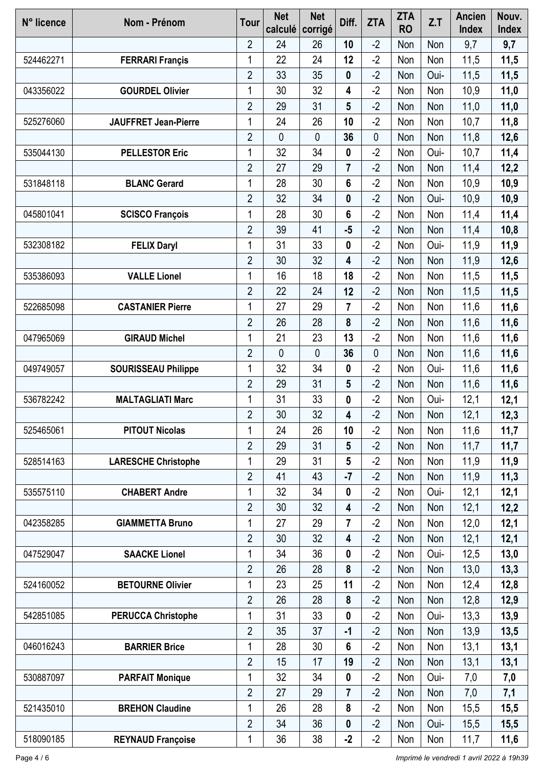| N° licence | Nom - Prénom                | <b>Tour</b>    | <b>Net</b><br>calculé | <b>Net</b><br>corrigé | Diff.                   | <b>ZTA</b>  | <b>ZTA</b><br><b>RO</b> | Z.T  | <b>Ancien</b><br><b>Index</b> | Nouv.<br><b>Index</b> |
|------------|-----------------------------|----------------|-----------------------|-----------------------|-------------------------|-------------|-------------------------|------|-------------------------------|-----------------------|
|            |                             | $\overline{2}$ | 24                    | 26                    | 10                      | $-2$        | Non                     | Non  | 9,7                           | 9,7                   |
| 524462271  | <b>FERRARI Françis</b>      | 1              | 22                    | 24                    | 12                      | $-2$        | Non                     | Non  | 11,5                          | 11,5                  |
|            |                             | $\overline{2}$ | 33                    | 35                    | 0                       | $-2$        | Non                     | Oui- | 11,5                          | 11,5                  |
| 043356022  | <b>GOURDEL Olivier</b>      | 1              | 30                    | 32                    | 4                       | $-2$        | Non                     | Non  | 10,9                          | 11,0                  |
|            |                             | $\overline{2}$ | 29                    | 31                    | 5                       | $-2$        | Non                     | Non  | 11,0                          | 11,0                  |
| 525276060  | <b>JAUFFRET Jean-Pierre</b> | 1              | 24                    | 26                    | 10                      | $-2$        | Non                     | Non  | 10,7                          | 11,8                  |
|            |                             | $\overline{2}$ | 0                     | 0                     | 36                      | $\mathbf 0$ | Non                     | Non  | 11,8                          | 12,6                  |
| 535044130  | <b>PELLESTOR Eric</b>       | 1              | 32                    | 34                    | $\boldsymbol{0}$        | $-2$        | Non                     | Oui- | 10,7                          | 11,4                  |
|            |                             | $\overline{2}$ | 27                    | 29                    | $\overline{\mathbf{r}}$ | $-2$        | Non                     | Non  | 11,4                          | 12,2                  |
| 531848118  | <b>BLANC Gerard</b>         | 1              | 28                    | 30                    | 6                       | $-2$        | Non                     | Non  | 10,9                          | 10,9                  |
|            |                             | $\overline{2}$ | 32                    | 34                    | 0                       | $-2$        | Non                     | Oui- | 10,9                          | 10,9                  |
| 045801041  | <b>SCISCO François</b>      | 1              | 28                    | 30                    | 6                       | $-2$        | Non                     | Non  | 11,4                          | 11,4                  |
|            |                             | $\overline{2}$ | 39                    | 41                    | $-5$                    | $-2$        | Non                     | Non  | 11,4                          | 10,8                  |
| 532308182  | <b>FELIX Daryl</b>          | $\mathbf{1}$   | 31                    | 33                    | 0                       | $-2$        | Non                     | Oui- | 11,9                          | 11,9                  |
|            |                             | $\overline{2}$ | 30                    | 32                    | 4                       | $-2$        | Non                     | Non  | 11,9                          | 12,6                  |
| 535386093  | <b>VALLE Lionel</b>         | 1              | 16                    | 18                    | 18                      | $-2$        | Non                     | Non  | 11,5                          | 11,5                  |
|            |                             | $\overline{2}$ | 22                    | 24                    | 12                      | $-2$        | Non                     | Non  | 11,5                          | 11,5                  |
| 522685098  | <b>CASTANIER Pierre</b>     | 1              | 27                    | 29                    | $\overline{7}$          | $-2$        | Non                     | Non  | 11,6                          | 11,6                  |
|            |                             | $\overline{2}$ | 26                    | 28                    | 8                       | $-2$        | Non                     | Non  | 11,6                          | 11,6                  |
| 047965069  | <b>GIRAUD Michel</b>        | 1              | 21                    | 23                    | 13                      | $-2$        | Non                     | Non  | 11,6                          | 11,6                  |
|            |                             | $\overline{2}$ | 0                     | $\mathbf{0}$          | 36                      | 0           | Non                     | Non  | 11,6                          | 11,6                  |
| 049749057  | <b>SOURISSEAU Philippe</b>  | 1              | 32                    | 34                    | 0                       | $-2$        | Non                     | Oui- | 11,6                          | 11,6                  |
|            |                             | $\overline{2}$ | 29                    | 31                    | 5                       | $-2$        | Non                     | Non  | 11,6                          | 11,6                  |
| 536782242  | <b>MALTAGLIATI Marc</b>     | 1              | 31                    | 33                    | 0                       | $-2$        | Non                     | Oui- | 12,1                          | 12,1                  |
|            |                             | $\overline{2}$ | 30                    | 32                    | 4                       | $-2$        | Non                     | Non  | 12,1                          | 12,3                  |
| 525465061  | <b>PITOUT Nicolas</b>       | 1              | 24                    | 26                    | 10                      | $-2$        | Non                     | Non  | 11,6                          | 11,7                  |
|            |                             | $\overline{2}$ | 29                    | 31                    | 5                       | $-2$        | Non                     | Non  | 11,7                          | 11,7                  |
| 528514163  | <b>LARESCHE Christophe</b>  | 1              | 29                    | 31                    | 5                       | $-2$        | Non                     | Non  | 11,9                          | 11,9                  |
|            |                             | $\overline{2}$ | 41                    | 43                    | $-7$                    | $-2$        | Non                     | Non  | 11,9                          | 11,3                  |
| 535575110  | <b>CHABERT Andre</b>        | $\mathbf{1}$   | 32                    | 34                    | 0                       | $-2$        | Non                     | Oui- | 12,1                          | 12,1                  |
|            |                             | $\overline{2}$ | 30                    | 32                    | 4                       | $-2$        | Non                     | Non  | 12,1                          | 12,2                  |
| 042358285  | <b>GIAMMETTA Bruno</b>      | 1              | 27                    | 29                    | $\overline{7}$          | $-2$        | Non                     | Non  | 12,0                          | 12,1                  |
|            |                             | $\overline{2}$ | 30                    | 32                    | 4                       | $-2$        | Non                     | Non  | 12,1                          | 12,1                  |
| 047529047  | <b>SAACKE Lionel</b>        | 1              | 34                    | 36                    | 0                       | $-2$        | Non                     | Oui- | 12,5                          | 13,0                  |
|            |                             | $\overline{2}$ | 26                    | 28                    | 8                       | $-2$        | Non                     | Non  | 13,0                          | 13,3                  |
| 524160052  | <b>BETOURNE Olivier</b>     | 1              | 23                    | 25                    | 11                      | $-2$        | Non                     | Non  | 12,4                          | 12,8                  |
|            |                             | $\overline{2}$ | 26                    | 28                    | 8                       | $-2$        | Non                     | Non  | 12,8                          | 12,9                  |
| 542851085  | <b>PERUCCA Christophe</b>   | 1              | 31                    | 33                    | $\boldsymbol{0}$        | $-2$        | Non                     | Oui- | 13,3                          | 13,9                  |
|            |                             | $\overline{2}$ | 35                    | 37                    | $-1$                    | $-2$        | Non                     | Non  | 13,9                          | 13,5                  |
| 046016243  | <b>BARRIER Brice</b>        | 1              | 28                    | 30                    | 6                       | $-2$        | Non                     | Non  | 13,1                          | 13,1                  |
|            |                             | $\overline{2}$ | 15                    | 17                    | 19                      | $-2$        | Non                     | Non  | 13,1                          | 13,1                  |
| 530887097  | <b>PARFAIT Monique</b>      | $\mathbf{1}$   | 32                    | 34                    | $\pmb{0}$               | $-2$        | Non                     | Oui- | 7,0                           | 7,0                   |
|            |                             | $\overline{2}$ | 27                    | 29                    | $\overline{\mathbf{r}}$ | $-2$        | Non                     | Non  | 7,0                           | 7,1                   |
| 521435010  | <b>BREHON Claudine</b>      | 1              | 26                    | 28                    | 8                       | $-2$        | Non                     | Non  | 15,5                          | 15,5                  |
|            |                             | $\overline{2}$ | 34                    | 36                    | 0                       | $-2$        | Non                     | Oui- | 15,5                          | 15,5                  |
| 518090185  | <b>REYNAUD Françoise</b>    | 1              | 36                    | 38                    | $-2$                    | $-2$        | Non                     | Non  | 11,7                          | 11,6                  |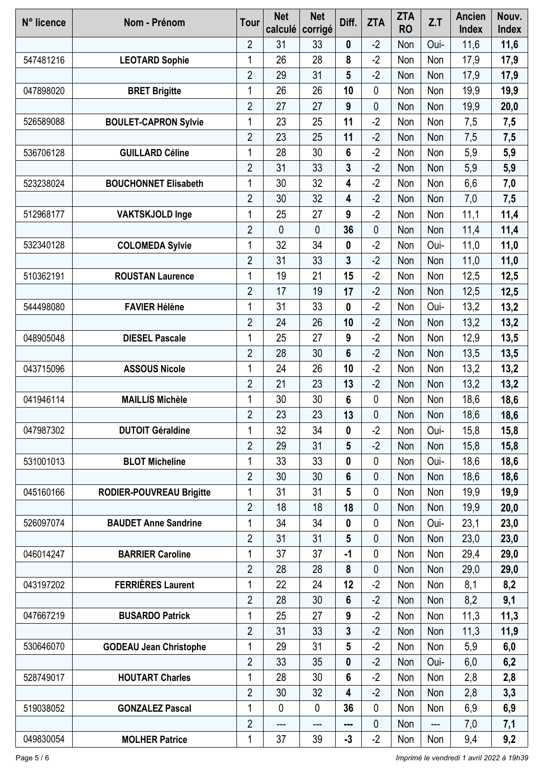| N° licence | Nom - Prénom                    | <b>Tour</b>    | <b>Net</b><br>calculé | <b>Net</b><br>corrigé | Diff.            | <b>ZTA</b>     | <b>ZTA</b><br><b>RO</b> | Z.T  | <b>Ancien</b><br><b>Index</b> | Nouv.<br><b>Index</b> |
|------------|---------------------------------|----------------|-----------------------|-----------------------|------------------|----------------|-------------------------|------|-------------------------------|-----------------------|
|            |                                 | $\overline{2}$ | 31                    | 33                    | 0                | $-2$           | Non                     | Oui- | 11,6                          | 11,6                  |
| 547481216  | <b>LEOTARD Sophie</b>           | 1              | 26                    | 28                    | 8                | $-2$           | Non                     | Non  | 17,9                          | 17,9                  |
|            |                                 | $\overline{2}$ | 29                    | 31                    | 5                | $-2$           | Non                     | Non  | 17,9                          | 17,9                  |
| 047898020  | <b>BRET Brigitte</b>            | 1              | 26                    | 26                    | 10               | 0              | Non                     | Non  | 19,9                          | 19,9                  |
|            |                                 | $\overline{2}$ | 27                    | 27                    | $\boldsymbol{9}$ | 0              | Non                     | Non  | 19,9                          | 20,0                  |
| 526589088  | <b>BOULET-CAPRON Sylvie</b>     | 1              | 23                    | 25                    | 11               | $-2$           | Non                     | Non  | 7,5                           | 7,5                   |
|            |                                 | $\overline{2}$ | 23                    | 25                    | 11               | $-2$           | Non                     | Non  | 7,5                           | 7,5                   |
| 536706128  | <b>GUILLARD Céline</b>          | 1              | 28                    | 30                    | 6                | $-2$           | Non                     | Non  | 5,9                           | 5,9                   |
|            |                                 | $\overline{2}$ | 31                    | 33                    | 3                | $-2$           | Non                     | Non  | 5,9                           | 5,9                   |
| 523238024  | <b>BOUCHONNET Elisabeth</b>     | 1              | 30                    | 32                    | 4                | $-2$           | Non                     | Non  | 6,6                           | 7,0                   |
|            |                                 | $\overline{2}$ | 30                    | 32                    | 4                | $-2$           | Non                     | Non  | 7,0                           | 7,5                   |
| 512968177  | <b>VAKTSKJOLD Inge</b>          | 1              | 25                    | 27                    | 9                | $-2$           | Non                     | Non  | 11,1                          | 11,4                  |
|            |                                 | $\overline{2}$ | 0                     | $\mathbf{0}$          | 36               | $\mathbf 0$    | Non                     | Non  | 11,4                          | 11,4                  |
| 532340128  | <b>COLOMEDA Sylvie</b>          | $\mathbf{1}$   | 32                    | 34                    | $\boldsymbol{0}$ | $-2$           | Non                     | Oui- | 11,0                          | 11,0                  |
|            |                                 | $\overline{2}$ | 31                    | 33                    | 3                | $-2$           | Non                     | Non  | 11,0                          | 11,0                  |
| 510362191  | <b>ROUSTAN Laurence</b>         | 1              | 19                    | 21                    | 15               | $-2$           | Non                     | Non  | 12,5                          | 12,5                  |
|            |                                 | $\overline{2}$ | 17                    | 19                    | 17               | $-2$           | Non                     | Non  | 12,5                          | 12,5                  |
| 544498080  | <b>FAVIER Hélène</b>            | 1              | 31                    | 33                    | $\boldsymbol{0}$ | $-2$           | Non                     | Oui- | 13,2                          | 13,2                  |
|            |                                 | $\overline{2}$ | 24                    | 26                    | 10               | $-2$           | Non                     | Non  | 13,2                          | 13,2                  |
| 048905048  | <b>DIESEL Pascale</b>           | $\mathbf 1$    | 25                    | 27                    | 9                | $-2$           | Non                     | Non  | 12,9                          | 13,5                  |
|            |                                 | $\overline{2}$ | 28                    | 30                    | 6                | $-2$           | Non                     | Non  | 13,5                          | 13,5                  |
| 043715096  | <b>ASSOUS Nicole</b>            | 1              | 24                    | 26                    | 10               | $-2$           | Non                     | Non  | 13,2                          | 13,2                  |
|            |                                 | $\overline{2}$ | 21                    | 23                    | 13               | $-2$           | Non                     | Non  | 13,2                          | 13,2                  |
| 041946114  | <b>MAILLIS Michèle</b>          | 1              | 30                    | 30                    | 6                | 0              | Non                     | Non  | 18,6                          | 18,6                  |
|            |                                 | $\overline{2}$ | 23                    | 23                    | 13               | $\overline{0}$ | Non                     | Non  | 18,6                          | 18,6                  |
| 047987302  | <b>DUTOIT Géraldine</b>         | 1              | 32                    | 34                    | 0                | $-2$           | Non                     | Oui- | 15,8                          | 15,8                  |
|            |                                 | $\overline{2}$ | 29                    | 31                    | 5                | $-2$           | Non                     | Non  | 15,8                          | 15,8                  |
| 531001013  | <b>BLOT Micheline</b>           | 1              | 33                    | 33                    | 0                | 0              | Non                     | Oui- | 18,6                          | 18,6                  |
|            |                                 | $\overline{2}$ | 30                    | 30                    | 6                | $\pmb{0}$      | Non                     | Non  | 18,6                          | 18,6                  |
| 045160166  | <b>RODIER-POUVREAU Brigitte</b> | 1              | 31                    | 31                    | 5                | 0              | Non                     | Non  | 19,9                          | 19,9                  |
|            |                                 | $\overline{2}$ | 18                    | 18                    | 18               | $\mathbf{0}$   | Non                     | Non  | 19,9                          | 20,0                  |
| 526097074  | <b>BAUDET Anne Sandrine</b>     | 1              | 34                    | 34                    | $\boldsymbol{0}$ | $\mathbf 0$    | Non                     | Oui- | 23,1                          | 23,0                  |
|            |                                 | $\overline{2}$ | 31                    | 31                    | 5                | 0              | Non                     | Non  | 23,0                          | 23,0                  |
| 046014247  | <b>BARRIER Caroline</b>         | 1              | 37                    | 37                    | $-1$             | 0              | Non                     | Non  | 29,4                          | 29,0                  |
|            |                                 | $\overline{2}$ | 28                    | 28                    | 8                | $\mathbf 0$    | Non                     | Non  | 29,0                          | 29,0                  |
| 043197202  | <b>FERRIÈRES Laurent</b>        | 1              | 22                    | 24                    | 12               | $-2$           | Non                     | Non  | 8,1                           | 8,2                   |
|            |                                 | $\overline{2}$ | 28                    | 30                    | 6                | $-2$           | Non                     | Non  | 8,2                           | 9,1                   |
| 047667219  | <b>BUSARDO Patrick</b>          | 1              | 25                    | 27                    | 9                | $-2$           | Non                     | Non  | 11,3                          | 11,3                  |
|            |                                 | $\overline{2}$ | 31                    | 33                    | 3                | $-2$           | Non                     | Non  | 11,3                          | 11,9                  |
| 530646070  | <b>GODEAU Jean Christophe</b>   | 1              | 29                    | 31                    | 5                | $-2$           | Non                     | Non  | 5,9                           | 6,0                   |
|            |                                 | $\overline{2}$ | 33                    | 35                    | 0                | $-2$           | Non                     | Oui- | 6,0                           | 6,2                   |
| 528749017  | <b>HOUTART Charles</b>          | $\mathbf{1}$   | 28                    | 30                    | 6                | $-2$           | Non                     | Non  | 2,8                           | 2,8                   |
|            |                                 | $\overline{2}$ | 30                    | 32                    | 4                | $-2$           | Non                     | Non  | 2,8                           | 3,3                   |
| 519038052  | <b>GONZALEZ Pascal</b>          | 1              | $\mathbf{0}$          | 0                     | 36               | $\mathbf 0$    | Non                     | Non  | 6,9                           | 6,9                   |
|            |                                 | $\overline{2}$ | ---                   | ---                   | ---              | 0              | Non                     | ---  | 7,0                           | 7,1                   |
| 049830054  | <b>MOLHER Patrice</b>           | 1              | 37                    | 39                    | $-3$             | $-2$           | Non                     | Non  | 9,4                           | 9,2                   |